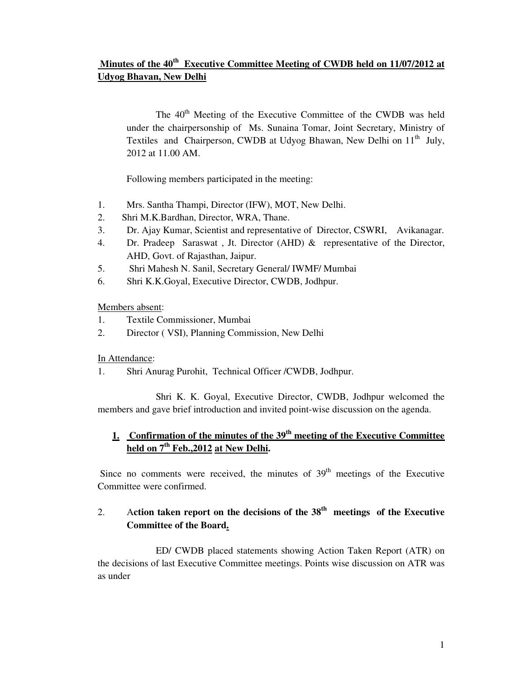# **Minutes of the 40th Executive Committee Meeting of CWDB held on 11/07/2012 at Udyog Bhavan, New Delhi**

The 40<sup>th</sup> Meeting of the Executive Committee of the CWDB was held under the chairpersonship of Ms. Sunaina Tomar, Joint Secretary, Ministry of Textiles and Chairperson, CWDB at Udyog Bhawan, New Delhi on 11<sup>th</sup> July, 2012 at 11.00 AM.

Following members participated in the meeting:

- 1. Mrs. Santha Thampi, Director (IFW), MOT, New Delhi.
- 2. Shri M.K.Bardhan, Director, WRA, Thane.
- 3. Dr. Ajay Kumar, Scientist and representative of Director, CSWRI, Avikanagar.
- 4. Dr. Pradeep Saraswat , Jt. Director (AHD) & representative of the Director, AHD, Govt. of Rajasthan, Jaipur.
- 5. Shri Mahesh N. Sanil, Secretary General/ IWMF/ Mumbai
- 6. Shri K.K.Goyal, Executive Director, CWDB, Jodhpur.

Members absent:

- 1. Textile Commissioner, Mumbai
- 2. Director ( VSI), Planning Commission, New Delhi

In Attendance:

1. Shri Anurag Purohit, Technical Officer /CWDB, Jodhpur.

 Shri K. K. Goyal, Executive Director, CWDB, Jodhpur welcomed the members and gave brief introduction and invited point-wise discussion on the agenda.

# **1. Confirmation of the minutes of the 39th meeting of the Executive Committee held on 7th Feb.,2012 at New Delhi.**

Since no comments were received, the minutes of  $39<sup>th</sup>$  meetings of the Executive Committee were confirmed.

# 2. A**ction taken report on the decisions of the 38th meetings of the Executive Committee of the Board.**

 ED/ CWDB placed statements showing Action Taken Report (ATR) on the decisions of last Executive Committee meetings. Points wise discussion on ATR was as under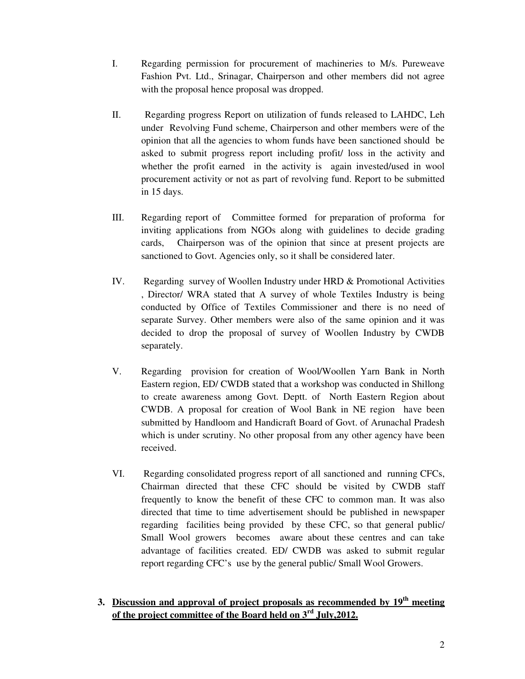- I. Regarding permission for procurement of machineries to M/s. Pureweave Fashion Pvt. Ltd., Srinagar, Chairperson and other members did not agree with the proposal hence proposal was dropped.
- II. Regarding progress Report on utilization of funds released to LAHDC, Leh under Revolving Fund scheme, Chairperson and other members were of the opinion that all the agencies to whom funds have been sanctioned should be asked to submit progress report including profit/ loss in the activity and whether the profit earned in the activity is again invested/used in wool procurement activity or not as part of revolving fund. Report to be submitted in 15 days.
- III. Regarding report of Committee formed for preparation of proforma for inviting applications from NGOs along with guidelines to decide grading cards, Chairperson was of the opinion that since at present projects are sanctioned to Govt. Agencies only, so it shall be considered later.
- IV. Regarding survey of Woollen Industry under HRD & Promotional Activities , Director/ WRA stated that A survey of whole Textiles Industry is being conducted by Office of Textiles Commissioner and there is no need of separate Survey. Other members were also of the same opinion and it was decided to drop the proposal of survey of Woollen Industry by CWDB separately.
- V. Regarding provision for creation of Wool/Woollen Yarn Bank in North Eastern region, ED/ CWDB stated that a workshop was conducted in Shillong to create awareness among Govt. Deptt. of North Eastern Region about CWDB. A proposal for creation of Wool Bank in NE region have been submitted by Handloom and Handicraft Board of Govt. of Arunachal Pradesh which is under scrutiny. No other proposal from any other agency have been received.
- VI. Regarding consolidated progress report of all sanctioned and running CFCs, Chairman directed that these CFC should be visited by CWDB staff frequently to know the benefit of these CFC to common man. It was also directed that time to time advertisement should be published in newspaper regarding facilities being provided by these CFC, so that general public/ Small Wool growers becomes aware about these centres and can take advantage of facilities created. ED/ CWDB was asked to submit regular report regarding CFC's use by the general public/ Small Wool Growers.
- **3. Discussion and approval of project proposals as recommended by 19th meeting of the project committee of the Board held on 3rd July,2012.**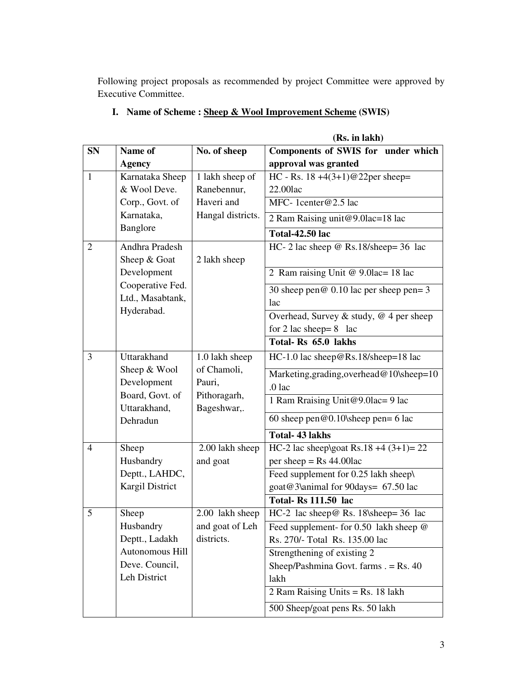Following project proposals as recommended by project Committee were approved by Executive Committee.

|           |                                 |                             | (Rs. in lakh)                              |  |
|-----------|---------------------------------|-----------------------------|--------------------------------------------|--|
| <b>SN</b> | Name of                         | No. of sheep                | Components of SWIS for under which         |  |
|           | <b>Agency</b>                   |                             | approval was granted                       |  |
| 1         | Karnataka Sheep                 | 1 lakh sheep of             | HC - Rs. $18 + 4(3+1)@22$ per sheep=       |  |
|           | & Wool Deve.                    | Ranebennur,                 | 22.00lac                                   |  |
|           | Corp., Govt. of                 | Haveri and                  | MFC-1center@2.5 lac                        |  |
|           | Karnataka,                      | Hangal districts.           | 2 Ram Raising unit@9.0lac=18 lac           |  |
|           | Banglore                        |                             | <b>Total-42.50 lac</b>                     |  |
| 2         | Andhra Pradesh                  |                             | HC- 2 lac sheep $@$ Rs.18/sheep= 36 lac    |  |
|           | Sheep & Goat                    | 2 lakh sheep                |                                            |  |
|           | Development                     |                             | 2 Ram raising Unit @ 9.0lac= 18 lac        |  |
|           | Cooperative Fed.                |                             | 30 sheep pen $@$ 0.10 lac per sheep pen= 3 |  |
|           | Ltd., Masabtank,                |                             | lac                                        |  |
|           | Hyderabad.                      |                             | Overhead, Survey & study, $@$ 4 per sheep  |  |
|           |                                 |                             | for 2 lac sheep= $8$ lac                   |  |
|           |                                 |                             | Total-Rs 65.0 lakhs                        |  |
| 3         | Uttarakhand                     | 1.0 lakh sheep              | HC-1.0 lac sheep@Rs.18/sheep=18 lac        |  |
|           | Sheep & Wool                    | of Chamoli,                 | Marketing, grading, overhead@10\sheep=10   |  |
|           | Development                     | Pauri,                      | $.0$ lac                                   |  |
|           | Board, Govt. of<br>Uttarakhand, | Pithoragarh,<br>Bageshwar,. | 1 Ram Rraising Unit@9.0lac= 9 lac          |  |
|           | Dehradun                        |                             | 60 sheep pen@0.10\sheep pen= 6 lac         |  |
|           |                                 |                             | <b>Total-43 lakhs</b>                      |  |
| 4         | Sheep                           | 2.00 lakh sheep             | HC-2 lac sheep\goat Rs.18 +4 $(3+1)= 22$   |  |
|           | Husbandry                       | and goat                    | per sheep = $Rs\,44.00$ lac                |  |
|           | Deptt., LAHDC,                  |                             | Feed supplement for 0.25 lakh sheep\       |  |
|           | Kargil District                 |                             | goat@3\animal for 90days= 67.50 lac        |  |
|           |                                 |                             | <b>Total-Rs 111.50 lac</b>                 |  |
| 5         | Sheep                           | 2.00 lakh sheep             | HC-2 lac sheep@ Rs. 18\sheep= 36 lac       |  |
|           | Husbandry                       | and goat of Leh             | Feed supplement- for 0.50 lakh sheep @     |  |
|           | Deptt., Ladakh                  | districts.                  | Rs. 270/- Total Rs. 135.00 lac             |  |
|           | Autonomous Hill                 |                             | Strengthening of existing 2                |  |
|           | Deve. Council,                  |                             | Sheep/Pashmina Govt. farms $. =$ Rs. 40    |  |
|           | Leh District                    |                             | lakh                                       |  |
|           |                                 |                             | 2 Ram Raising Units = $Rs. 18$ lakh        |  |
|           |                                 |                             | 500 Sheep/goat pens Rs. 50 lakh            |  |

# **I. Name of Scheme : Sheep & Wool Improvement Scheme (SWIS)**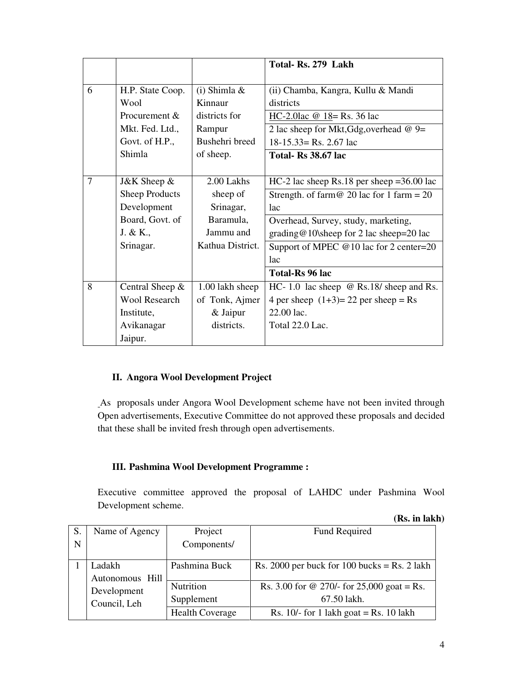|   |                       |                  | Total-Rs. 279 Lakh                             |
|---|-----------------------|------------------|------------------------------------------------|
|   |                       |                  |                                                |
| 6 | H.P. State Coop.      | $(i)$ Shimla &   | (ii) Chamba, Kangra, Kullu & Mandi             |
|   | Wool                  | Kinnaur          | districts                                      |
|   | Procurement &         | districts for    | HC-2.0lac $@$ 18 = Rs. 36 lac                  |
|   | Mkt. Fed. Ltd.,       | Rampur           | 2 lac sheep for Mkt, Gdg, overhead $@9=$       |
|   | Govt. of H.P.,        | Bushehri breed   | $18-15.33 =$ Rs. 2.67 lac                      |
|   | Shimla                | of sheep.        | <b>Total- Rs 38.67 lac</b>                     |
|   |                       |                  |                                                |
| 7 | J&K Sheep &           | 2.00 Lakhs       | HC-2 lac sheep Rs.18 per sheep = $36.00$ lac   |
|   | <b>Sheep Products</b> | sheep of         | Strength. of farm @ 20 lac for 1 farm = $20$   |
|   | Development           | Srinagar,        | <sub>l</sub> ac                                |
|   | Board, Govt. of       | Baramula,        | Overhead, Survey, study, marketing,            |
|   | J. & K.,              | Jammu and        | grading@10\sheep for 2 lac sheep=20 lac        |
|   | Srinagar.             | Kathua District. | Support of MPEC $@10$ lac for 2 center=20      |
|   |                       |                  | <sub>lac</sub>                                 |
|   |                       |                  | Total-Rs 96 lac                                |
| 8 | Central Sheep $\&$    | 1.00 lakh sheep  | HC-1.0 lac sheep $\omega$ Rs.18/ sheep and Rs. |
|   | <b>Wool Research</b>  | of Tonk, Ajmer   | 4 per sheep $(1+3)=22$ per sheep = Rs          |
|   | Institute,            | & Jaipur         | 22.00 lac.                                     |
|   | Avikanagar            | districts.       | Total 22.0 Lac.                                |
|   | Jaipur.               |                  |                                                |

#### **II. Angora Wool Development Project**

As proposals under Angora Wool Development scheme have not been invited through Open advertisements, Executive Committee do not approved these proposals and decided that these shall be invited fresh through open advertisements.

#### **III. Pashmina Wool Development Programme :**

Executive committee approved the proposal of LAHDC under Pashmina Wool Development scheme.

|  |  | (Rs. in lakh) |
|--|--|---------------|
|--|--|---------------|

| S.          | Name of Agency            | Project                | Fund Required                                |
|-------------|---------------------------|------------------------|----------------------------------------------|
| $\mathbf N$ |                           | Components/            |                                              |
|             | Ladakh<br>Autonomous Hill | Pashmina Buck          | Rs. 2000 per buck for 100 bucks = Rs. 2 lakh |
|             | Development               | Nutrition              | Rs. 3.00 for @ 270/- for 25,000 goat = Rs.   |
|             | Council, Leh              | Supplement             | 67.50 lakh.                                  |
|             |                           | <b>Health Coverage</b> | Rs. $10/-$ for 1 lakh goat = Rs. 10 lakh     |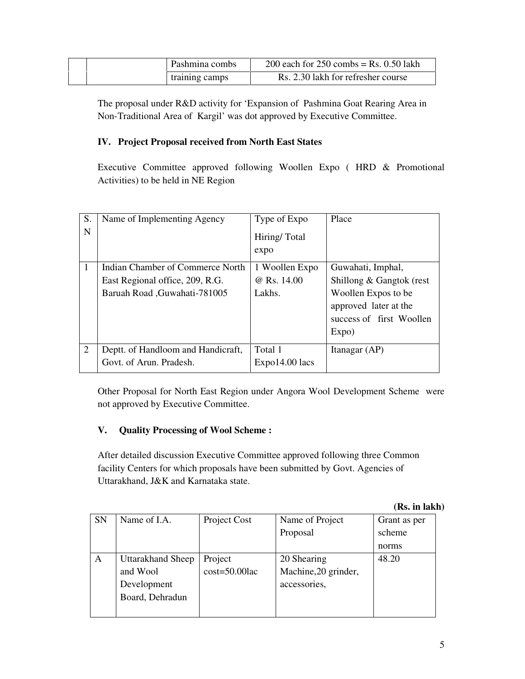|  | Pashmina combs | 200 each for $250$ combs = Rs. 0.50 lakh |
|--|----------------|------------------------------------------|
|  | training camps | Rs. 2.30 lakh for refresher course       |

The proposal under R&D activity for 'Expansion of Pashmina Goat Rearing Area in Non-Traditional Area of Kargil' was dot approved by Executive Committee.

### **IV. Project Proposal received from North East States**

Executive Committee approved following Woollen Expo ( HRD & Promotional Activities) to be held in NE Region

| S.<br>N      | Name of Implementing Agency                                                                          | Type of Expo<br>Hiring/Total<br>expo    | Place                                                                                                                              |
|--------------|------------------------------------------------------------------------------------------------------|-----------------------------------------|------------------------------------------------------------------------------------------------------------------------------------|
| $\mathbf{1}$ | Indian Chamber of Commerce North<br>East Regional office, 209, R.G.<br>Baruah Road , Guwahati-781005 | 1 Woollen Expo<br>@ Rs. 14.00<br>Lakhs. | Guwahati, Imphal,<br>Shillong & Gangtok (rest<br>Woollen Expos to be<br>approved later at the<br>success of first Woollen<br>Expo) |
| 2            | Deptt. of Handloom and Handicraft,<br>Govt. of Arun. Pradesh.                                        | Total 1<br>$Expo14.00$ lacs             | Itanagar (AP)                                                                                                                      |

Other Proposal for North East Region under Angora Wool Development Scheme were not approved by Executive Committee.

## **V. Quality Processing of Wool Scheme :**

After detailed discussion Executive Committee approved following three Common facility Centers for which proposals have been submitted by Govt. Agencies of Uttarakhand, J&K and Karnataka state.

|  | (Rs. in lakh) |
|--|---------------|
|  |               |

| <b>SN</b> | Name of I.A.             | Project Cost       | Name of Project      | Grant as per |
|-----------|--------------------------|--------------------|----------------------|--------------|
|           |                          |                    | Proposal             | scheme       |
|           |                          |                    |                      | norms        |
| A         | <b>Uttarakhand Sheep</b> | Project            | 20 Shearing          | 48.20        |
|           | and Wool                 | $cost = 50.00$ lac | Machine, 20 grinder, |              |
|           | Development              |                    | accessories,         |              |
|           | Board, Dehradun          |                    |                      |              |
|           |                          |                    |                      |              |
|           |                          |                    |                      |              |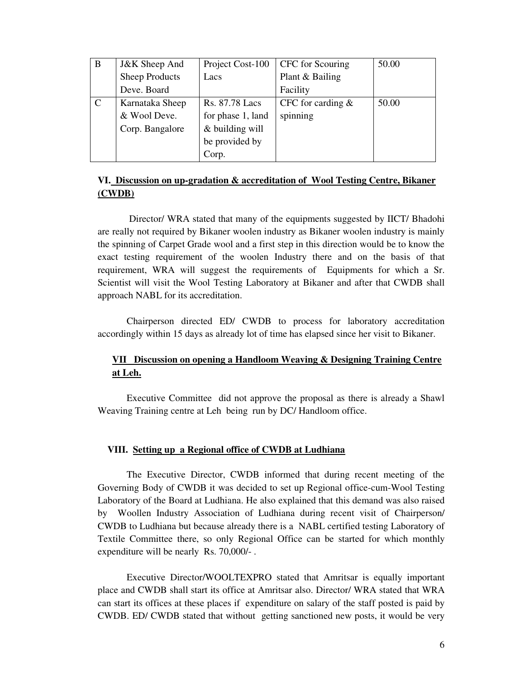| B             | <b>J&amp;K</b> Sheep And | Project Cost-100  | CFC for Scouring    | 50.00 |
|---------------|--------------------------|-------------------|---------------------|-------|
|               | <b>Sheep Products</b>    | Lacs              | Plant & Bailing     |       |
|               | Deve. Board              |                   | Facility            |       |
| $\mathcal{C}$ | Karnataka Sheep          | Rs. 87.78 Lacs    | CFC for carding $&$ | 50.00 |
|               | & Wool Deve.             | for phase 1, land | spinning            |       |
|               | Corp. Bangalore          | & building will   |                     |       |
|               |                          | be provided by    |                     |       |
|               |                          | Corp.             |                     |       |

#### **VI. Discussion on up-gradation & accreditation of Wool Testing Centre, Bikaner (CWDB)**

 Director/ WRA stated that many of the equipments suggested by IICT/ Bhadohi are really not required by Bikaner woolen industry as Bikaner woolen industry is mainly the spinning of Carpet Grade wool and a first step in this direction would be to know the exact testing requirement of the woolen Industry there and on the basis of that requirement, WRA will suggest the requirements of Equipments for which a Sr. Scientist will visit the Wool Testing Laboratory at Bikaner and after that CWDB shall approach NABL for its accreditation.

Chairperson directed ED/ CWDB to process for laboratory accreditation accordingly within 15 days as already lot of time has elapsed since her visit to Bikaner.

### **VII Discussion on opening a Handloom Weaving & Designing Training Centre at Leh.**

Executive Committee did not approve the proposal as there is already a Shawl Weaving Training centre at Leh being run by DC/ Handloom office.

#### **VIII. Setting up a Regional office of CWDB at Ludhiana**

The Executive Director, CWDB informed that during recent meeting of the Governing Body of CWDB it was decided to set up Regional office-cum-Wool Testing Laboratory of the Board at Ludhiana. He also explained that this demand was also raised by Woollen Industry Association of Ludhiana during recent visit of Chairperson/ CWDB to Ludhiana but because already there is a NABL certified testing Laboratory of Textile Committee there, so only Regional Office can be started for which monthly expenditure will be nearly Rs. 70,000/- .

Executive Director/WOOLTEXPRO stated that Amritsar is equally important place and CWDB shall start its office at Amritsar also. Director/ WRA stated that WRA can start its offices at these places if expenditure on salary of the staff posted is paid by CWDB. ED/ CWDB stated that without getting sanctioned new posts, it would be very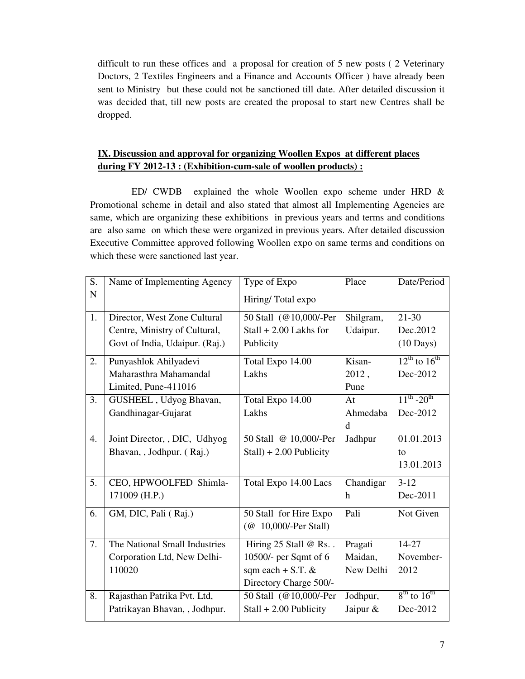difficult to run these offices and a proposal for creation of 5 new posts ( 2 Veterinary Doctors, 2 Textiles Engineers and a Finance and Accounts Officer ) have already been sent to Ministry but these could not be sanctioned till date. After detailed discussion it was decided that, till new posts are created the proposal to start new Centres shall be dropped.

## **IX. Discussion and approval for organizing Woollen Expos at different places during FY 2012-13 : (Exhibition-cum-sale of woollen products) :**

 ED/ CWDB explained the whole Woollen expo scheme under HRD & Promotional scheme in detail and also stated that almost all Implementing Agencies are same, which are organizing these exhibitions in previous years and terms and conditions are also same on which these were organized in previous years. After detailed discussion Executive Committee approved following Woollen expo on same terms and conditions on which these were sanctioned last year.

| S.          | Name of Implementing Agency    | Type of Expo               | Place       | Date/Period            |
|-------------|--------------------------------|----------------------------|-------------|------------------------|
| $\mathbf N$ |                                | Hiring/Total expo          |             |                        |
| 1.          | Director, West Zone Cultural   | 50 Stall (@10,000/-Per     | Shilgram,   | $21 - 30$              |
|             | Centre, Ministry of Cultural,  | $Stall + 2.00$ Lakhs for   | Udaipur.    | Dec.2012               |
|             | Govt of India, Udaipur. (Raj.) | Publicity                  |             | $(10 \text{ Days})$    |
| 2.          | Punyashlok Ahilyadevi          | Total Expo 14.00           | Kisan-      | $12^{th}$ to $16^{th}$ |
|             | Maharasthra Mahamandal         | Lakhs                      | 2012,       | Dec-2012               |
|             | Limited, Pune-411016           |                            | Pune        |                        |
| 3.          | GUSHEEL, Udyog Bhavan,         | Total Expo 14.00           | At          | $11^{th} - 20^{th}$    |
|             | Gandhinagar-Gujarat            | Lakhs                      | Ahmedaba    | Dec-2012               |
|             |                                |                            | $\mathbf d$ |                        |
| 4.          | Joint Director, , DIC, Udhyog  | 50 Stall @ 10,000/-Per     | Jadhpur     | 01.01.2013             |
|             | Bhavan, , Jodhpur. (Raj.)      | $Stall$ ) + 2.00 Publicity |             | to                     |
|             |                                |                            |             | 13.01.2013             |
| 5.          | CEO, HPWOOLFED Shimla-         | Total Expo 14.00 Lacs      | Chandigar   | $3-12$                 |
|             | 171009 (H.P.)                  |                            | $\mathbf h$ | Dec-2011               |
| 6.          | GM, DIC, Pali (Raj.)           | 50 Stall for Hire Expo     | Pali        | Not Given              |
|             |                                | (@ 10,000/-Per Stall)      |             |                        |
| 7.          | The National Small Industries  | Hiring 25 Stall @ Rs       | Pragati     | 14-27                  |
|             | Corporation Ltd, New Delhi-    | 10500/- per Sqmt of 6      | Maidan,     | November-              |
|             | 110020                         | sqm each $+$ S.T. &        | New Delhi   | 2012                   |
|             |                                | Directory Charge 500/-     |             |                        |
| 8.          | Rajasthan Patrika Pvt. Ltd,    | 50 Stall (@10,000/-Per     | Jodhpur,    | $8th$ to $16th$        |
|             | Patrikayan Bhavan, , Jodhpur.  | $Stall + 2.00$ Publicity   | Jaipur &    | Dec-2012               |
|             |                                |                            |             |                        |